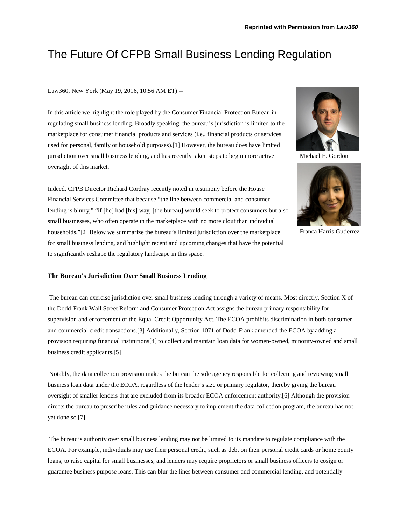# The Future Of CFPB Small Business Lending Regulation

Law360, New York (May 19, 2016, 10:56 AM ET) --

In this article we highlight the role played by the Consumer Financial Protection Bureau in regulating small business lending. Broadly speaking, the bureau's jurisdiction is limited to the marketplace for consumer financial products and services (i.e., financial products or services used for personal, family or household purposes).[1] However, the bureau does have limited jurisdiction over small business lending, and has recently taken steps to begin more active oversight of this market.

Indeed, CFPB Director Richard Cordray recently noted in testimony before the House Financial Services Committee that because "the line between commercial and consumer lending is blurry," "if [he] had [his] way, [the bureau] would seek to protect consumers but also small businesses, who often operate in the marketplace with no more clout than individual households."[2] Below we summarize the bureau's limited jurisdiction over the marketplace for small business lending, and highlight recent and upcoming changes that have the potential to significantly reshape the regulatory landscape in this space.



The bureau can exercise jurisdiction over small business lending through a variety of means. Most directly, Section X of the Dodd-Frank Wall Street Reform and Consumer Protection Act assigns the bureau primary responsibility for supervision and enforcement of the Equal Credit Opportunity Act. The ECOA prohibits discrimination in both consumer and commercial credit transactions.[3] Additionally, Section 1071 of Dodd-Frank amended the ECOA by adding a provision requiring financial institutions[4] to collect and maintain loan data for women-owned, minority-owned and small business credit applicants.[5]

Notably, the data collection provision makes the bureau the sole agency responsible for collecting and reviewing small business loan data under the ECOA, regardless of the lender's size or primary regulator, thereby giving the bureau oversight of smaller lenders that are excluded from its broader ECOA enforcement authority.[6] Although the provision directs the bureau to prescribe rules and guidance necessary to implement the data collection program, the bureau has not yet done so.[7]

The bureau's authority over small business lending may not be limited to its mandate to regulate compliance with the ECOA. For example, individuals may use their personal credit, such as debt on their personal credit cards or home equity loans, to raise capital for small businesses, and lenders may require proprietors or small business officers to cosign or guarantee business purpose loans. This can blur the lines between consumer and commercial lending, and potentially



Michael E. Gordon



Franca Harris Gutierrez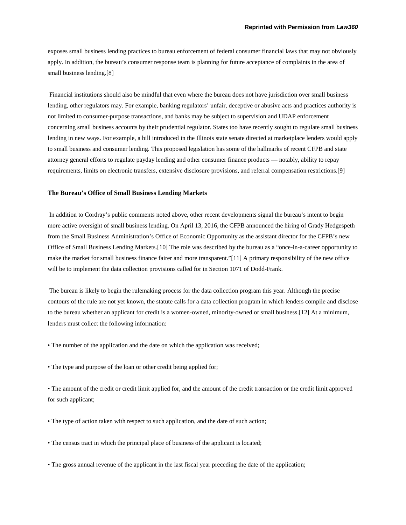exposes small business lending practices to bureau enforcement of federal consumer financial laws that may not obviously apply. In addition, the bureau's consumer response team is planning for future acceptance of complaints in the area of small business lending.[8]

Financial institutions should also be mindful that even where the bureau does not have jurisdiction over small business lending, other regulators may. For example, banking regulators' unfair, deceptive or abusive acts and practices authority is not limited to consumer-purpose transactions, and banks may be subject to supervision and UDAP enforcement concerning small business accounts by their prudential regulator. States too have recently sought to regulate small business lending in new ways. For example, a bill introduced in the Illinois state senate directed at marketplace lenders would apply to small business and consumer lending. This proposed legislation has some of the hallmarks of recent CFPB and state attorney general efforts to regulate payday lending and other consumer finance products — notably, ability to repay requirements, limits on electronic transfers, extensive disclosure provisions, and referral compensation restrictions.[9]

#### **The Bureau's Office of Small Business Lending Markets**

In addition to Cordray's public comments noted above, other recent developments signal the bureau's intent to begin more active oversight of small business lending. On April 13, 2016, the CFPB announced the hiring of Grady Hedgespeth from the Small Business Administration's Office of Economic Opportunity as the assistant director for the CFPB's new Office of Small Business Lending Markets.[10] The role was described by the bureau as a "once-in-a-career opportunity to make the market for small business finance fairer and more transparent."[11] A primary responsibility of the new office will be to implement the data collection provisions called for in Section 1071 of Dodd-Frank.

The bureau is likely to begin the rulemaking process for the data collection program this year. Although the precise contours of the rule are not yet known, the statute calls for a data collection program in which lenders compile and disclose to the bureau whether an applicant for credit is a women-owned, minority-owned or small business.[12] At a minimum, lenders must collect the following information:

- The number of the application and the date on which the application was received;
- The type and purpose of the loan or other credit being applied for;

• The amount of the credit or credit limit applied for, and the amount of the credit transaction or the credit limit approved for such applicant;

- The type of action taken with respect to such application, and the date of such action;
- The census tract in which the principal place of business of the applicant is located;
- The gross annual revenue of the applicant in the last fiscal year preceding the date of the application;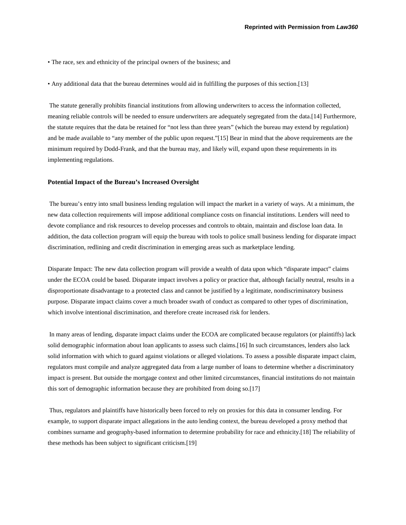- The race, sex and ethnicity of the principal owners of the business; and
- Any additional data that the bureau determines would aid in fulfilling the purposes of this section.[13]

The statute generally prohibits financial institutions from allowing underwriters to access the information collected, meaning reliable controls will be needed to ensure underwriters are adequately segregated from the data.[14] Furthermore, the statute requires that the data be retained for "not less than three years" (which the bureau may extend by regulation) and be made available to "any member of the public upon request."[15] Bear in mind that the above requirements are the minimum required by Dodd-Frank, and that the bureau may, and likely will, expand upon these requirements in its implementing regulations.

## **Potential Impact of the Bureau's Increased Oversight**

The bureau's entry into small business lending regulation will impact the market in a variety of ways. At a minimum, the new data collection requirements will impose additional compliance costs on financial institutions. Lenders will need to devote compliance and risk resources to develop processes and controls to obtain, maintain and disclose loan data. In addition, the data collection program will equip the bureau with tools to police small business lending for disparate impact discrimination, redlining and credit discrimination in emerging areas such as marketplace lending.

Disparate Impact: The new data collection program will provide a wealth of data upon which "disparate impact" claims under the ECOA could be based. Disparate impact involves a policy or practice that, although facially neutral, results in a disproportionate disadvantage to a protected class and cannot be justified by a legitimate, nondiscriminatory business purpose. Disparate impact claims cover a much broader swath of conduct as compared to other types of discrimination, which involve intentional discrimination, and therefore create increased risk for lenders.

In many areas of lending, disparate impact claims under the ECOA are complicated because regulators (or plaintiffs) lack solid demographic information about loan applicants to assess such claims.[16] In such circumstances, lenders also lack solid information with which to guard against violations or alleged violations. To assess a possible disparate impact claim, regulators must compile and analyze aggregated data from a large number of loans to determine whether a discriminatory impact is present. But outside the mortgage context and other limited circumstances, financial institutions do not maintain this sort of demographic information because they are prohibited from doing so.[17]

Thus, regulators and plaintiffs have historically been forced to rely on proxies for this data in consumer lending. For example, to support disparate impact allegations in the auto lending context, the bureau developed a proxy method that combines surname and geography-based information to determine probability for race and ethnicity.[18] The reliability of these methods has been subject to significant criticism.[19]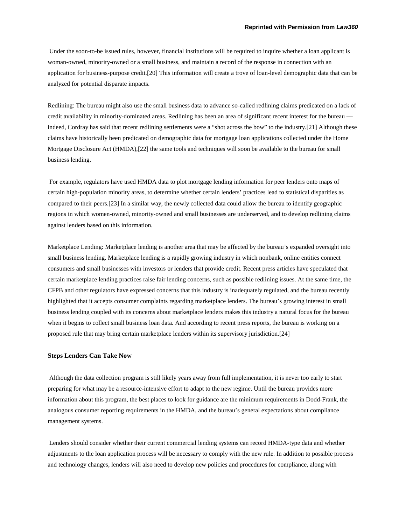Under the soon-to-be issued rules, however, financial institutions will be required to inquire whether a loan applicant is woman-owned, minority-owned or a small business, and maintain a record of the response in connection with an application for business-purpose credit.[20] This information will create a trove of loan-level demographic data that can be analyzed for potential disparate impacts.

Redlining: The bureau might also use the small business data to advance so-called redlining claims predicated on a lack of credit availability in minority-dominated areas. Redlining has been an area of significant recent interest for the bureau indeed, Cordray has said that recent redlining settlements were a "shot across the bow" to the industry.[21] Although these claims have historically been predicated on demographic data for mortgage loan applications collected under the Home Mortgage Disclosure Act (HMDA),[22] the same tools and techniques will soon be available to the bureau for small business lending.

For example, regulators have used HMDA data to plot mortgage lending information for peer lenders onto maps of certain high-population minority areas, to determine whether certain lenders' practices lead to statistical disparities as compared to their peers.[23] In a similar way, the newly collected data could allow the bureau to identify geographic regions in which women-owned, minority-owned and small businesses are underserved, and to develop redlining claims against lenders based on this information.

Marketplace Lending: Marketplace lending is another area that may be affected by the bureau's expanded oversight into small business lending. Marketplace lending is a rapidly growing industry in which nonbank, online entities connect consumers and small businesses with investors or lenders that provide credit. Recent press articles have speculated that certain marketplace lending practices raise fair lending concerns, such as possible redlining issues. At the same time, the CFPB and other regulators have expressed concerns that this industry is inadequately regulated, and the bureau recently highlighted that it accepts consumer complaints regarding marketplace lenders. The bureau's growing interest in small business lending coupled with its concerns about marketplace lenders makes this industry a natural focus for the bureau when it begins to collect small business loan data. And according to recent press reports, the bureau is working on a proposed rule that may bring certain marketplace lenders within its supervisory jurisdiction.[24]

#### **Steps Lenders Can Take Now**

Although the data collection program is still likely years away from full implementation, it is never too early to start preparing for what may be a resource-intensive effort to adapt to the new regime. Until the bureau provides more information about this program, the best places to look for guidance are the minimum requirements in Dodd-Frank, the analogous consumer reporting requirements in the HMDA, and the bureau's general expectations about compliance management systems.

Lenders should consider whether their current commercial lending systems can record HMDA-type data and whether adjustments to the loan application process will be necessary to comply with the new rule. In addition to possible process and technology changes, lenders will also need to develop new policies and procedures for compliance, along with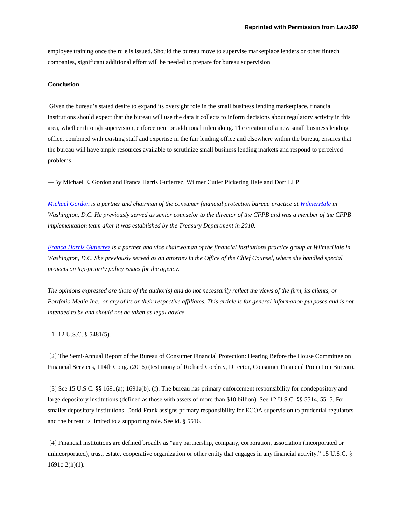employee training once the rule is issued. Should the bureau move to supervise marketplace lenders or other fintech companies, significant additional effort will be needed to prepare for bureau supervision.

# **Conclusion**

Given the bureau's stated desire to expand its oversight role in the small business lending marketplace, financial institutions should expect that the bureau will use the data it collects to inform decisions about regulatory activity in this area, whether through supervision, enforcement or additional rulemaking. The creation of a new small business lending office, combined with existing staff and expertise in the fair lending office and elsewhere within the bureau, ensures that the bureau will have ample resources available to scrutinize small business lending markets and respond to perceived problems.

—By Michael E. Gordon and Franca Harris Gutierrez, Wilmer Cutler Pickering Hale and Dorr LLP

*[Michael Gordon](https://www.wilmerhale.com/michael_gordon/) is a partner and chairman of the consumer financial protection bureau practice a[t WilmerHale](https://www.wilmerhale.com/) in Washington, D.C. He previously served as senior counselor to the director of the CFPB and was a member of the CFPB implementation team after it was established by the Treasury Department in 2010.*

*[Franca Harris Gutierrez](https://www.wilmerhale.com/franca_gutierrez/) is a partner and vice chairwoman of the financial institutions practice group at WilmerHale in Washington, D.C. She previously served as an attorney in the Office of the Chief Counsel, where she handled special projects on top-priority policy issues for the agency.*

*The opinions expressed are those of the author(s) and do not necessarily reflect the views of the firm, its clients, or Portfolio Media Inc., or any of its or their respective affiliates. This article is for general information purposes and is not intended to be and should not be taken as legal advice.*

### [1] 12 U.S.C. § 5481(5).

[2] The Semi-Annual Report of the Bureau of Consumer Financial Protection: Hearing Before the House Committee on Financial Services, 114th Cong. (2016) (testimony of Richard Cordray, Director, Consumer Financial Protection Bureau).

[3] See 15 U.S.C. §§ 1691(a); 1691a(b), (f). The bureau has primary enforcement responsibility for nondepository and large depository institutions (defined as those with assets of more than \$10 billion). See 12 U.S.C. §§ 5514, 5515. For smaller depository institutions, Dodd-Frank assigns primary responsibility for ECOA supervision to prudential regulators and the bureau is limited to a supporting role. See id. § 5516.

[4] Financial institutions are defined broadly as "any partnership, company, corporation, association (incorporated or unincorporated), trust, estate, cooperative organization or other entity that engages in any financial activity." 15 U.S.C. § 1691c-2(h)(1).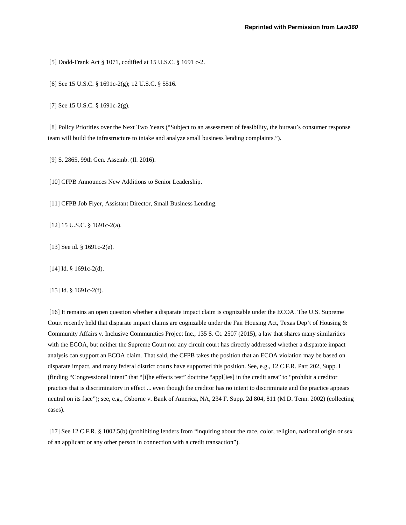[5] Dodd-Frank Act § 1071, codified at 15 U.S.C. § 1691 c-2.

[6] See 15 U.S.C. § 1691c-2(g); 12 U.S.C. § 5516.

[7] See 15 U.S.C. § 1691c-2(g).

[8] Policy Priorities over the Next Two Years ("Subject to an assessment of feasibility, the bureau's consumer response team will build the infrastructure to intake and analyze small business lending complaints.").

[9] S. 2865, 99th Gen. Assemb. (Il. 2016).

[10] CFPB Announces New Additions to Senior Leadership.

[11] CFPB Job Flyer, Assistant Director, Small Business Lending.

[12] 15 U.S.C. § 1691c-2(a).

[13] See id. § 1691c-2(e).

[14] Id. § 1691c-2(d).

[15] Id. § 1691c-2(f).

[16] It remains an open question whether a disparate impact claim is cognizable under the ECOA. The U.S. Supreme Court recently held that disparate impact claims are cognizable under the Fair Housing Act, Texas Dep't of Housing & Community Affairs v. Inclusive Communities Project Inc., 135 S. Ct. 2507 (2015), a law that shares many similarities with the ECOA, but neither the Supreme Court nor any circuit court has directly addressed whether a disparate impact analysis can support an ECOA claim. That said, the CFPB takes the position that an ECOA violation may be based on disparate impact, and many federal district courts have supported this position. See, e.g., 12 C.F.R. Part 202, Supp. I (finding "Congressional intent" that "[t]he effects test" doctrine "appl[ies] in the credit area" to "prohibit a creditor practice that is discriminatory in effect ... even though the creditor has no intent to discriminate and the practice appears neutral on its face"); see, e.g., Osborne v. Bank of America, NA, 234 F. Supp. 2d 804, 811 (M.D. Tenn. 2002) (collecting cases).

[17] See 12 C.F.R. § 1002.5(b) (prohibiting lenders from "inquiring about the race, color, religion, national origin or sex of an applicant or any other person in connection with a credit transaction").